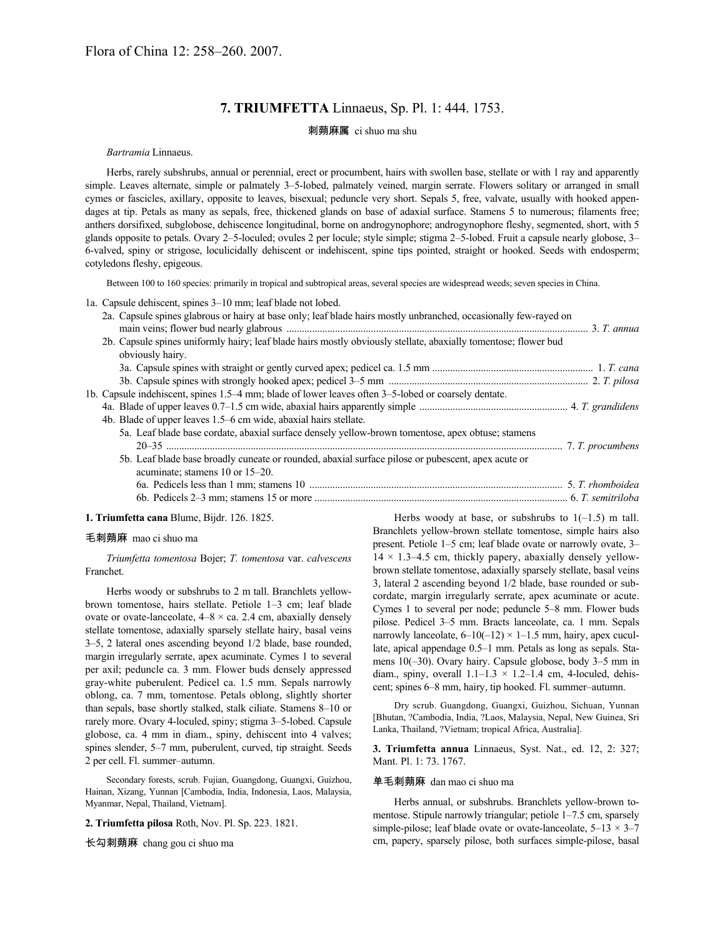# **7. TRIUMFETTA** Linnaeus, Sp. Pl. 1: 444. 1753.

## 刺蒴麻属 ci shuo ma shu

#### *Bartramia* Linnaeus.

Herbs, rarely subshrubs, annual or perennial, erect or procumbent, hairs with swollen base, stellate or with 1 ray and apparently simple. Leaves alternate, simple or palmately 3–5-lobed, palmately veined, margin serrate. Flowers solitary or arranged in small cymes or fascicles, axillary, opposite to leaves, bisexual; peduncle very short. Sepals 5, free, valvate, usually with hooked appendages at tip. Petals as many as sepals, free, thickened glands on base of adaxial surface. Stamens 5 to numerous; filaments free; anthers dorsifixed, subglobose, dehiscence longitudinal, borne on androgynophore; androgynophore fleshy, segmented, short, with 5 glands opposite to petals. Ovary 2–5-loculed; ovules 2 per locule; style simple; stigma 2–5-lobed. Fruit a capsule nearly globose, 3– 6-valved, spiny or strigose, loculicidally dehiscent or indehiscent, spine tips pointed, straight or hooked. Seeds with endosperm; cotyledons fleshy, epigeous.

Between 100 to 160 species: primarily in tropical and subtropical areas, several species are widespread weeds; seven species in China.

1a. Capsule dehiscent, spines 3–10 mm; leaf blade not lobed.

2a. Capsule spines glabrous or hairy at base only; leaf blade hairs mostly unbranched, occasionally few-rayed on main veins; flower bud nearly glabrous ...................................................................................................................... 3. *T. annua*

| 2b. Capsule spines uniformly hairy; leaf blade hairs mostly obviously stellate, abaxially tomentose; flower bud |  |
|-----------------------------------------------------------------------------------------------------------------|--|
| obviously hairy.                                                                                                |  |
|                                                                                                                 |  |
|                                                                                                                 |  |
| 1b. Capsule indehiscent, spines 1.5–4 mm; blade of lower leaves often 3–5-lobed or coarsely dentate.            |  |
|                                                                                                                 |  |
| 4b. Blade of upper leaves 1.5–6 cm wide, abaxial hairs stellate.                                                |  |
| 5a. Leaf blade base cordate, abaxial surface densely yellow-brown tomentose, apex obtuse; stamens               |  |
|                                                                                                                 |  |
| 5b. Leaf blade base broadly cuneate or rounded, abaxial surface pilose or pubescent, apex acute or              |  |
| acuminate; stamens 10 or 15–20.                                                                                 |  |
|                                                                                                                 |  |
|                                                                                                                 |  |

#### **1. Triumfetta cana** Blume, Bijdr. 126. 1825.

## 毛刺蒴麻 mao ci shuo ma

*Triumfetta tomentosa* Bojer; *T. tomentosa* var. *calvescens* Franchet.

Herbs woody or subshrubs to 2 m tall. Branchlets yellowbrown tomentose, hairs stellate. Petiole 1–3 cm; leaf blade ovate or ovate-lanceolate,  $4-8 \times ca$ . 2.4 cm, abaxially densely stellate tomentose, adaxially sparsely stellate hairy, basal veins 3–5, 2 lateral ones ascending beyond 1/2 blade, base rounded, margin irregularly serrate, apex acuminate. Cymes 1 to several per axil; peduncle ca. 3 mm. Flower buds densely appressed gray-white puberulent. Pedicel ca. 1.5 mm. Sepals narrowly oblong, ca. 7 mm, tomentose. Petals oblong, slightly shorter than sepals, base shortly stalked, stalk ciliate. Stamens 8–10 or rarely more. Ovary 4-loculed, spiny; stigma 3–5-lobed. Capsule globose, ca. 4 mm in diam., spiny, dehiscent into 4 valves; spines slender, 5–7 mm, puberulent, curved, tip straight. Seeds 2 per cell. Fl. summer–autumn.

Secondary forests, scrub. Fujian, Guangdong, Guangxi, Guizhou, Hainan, Xizang, Yunnan [Cambodia, India, Indonesia, Laos, Malaysia, Myanmar, Nepal, Thailand, Vietnam].

**2. Triumfetta pilosa** Roth, Nov. Pl. Sp. 223. 1821.

长勾刺蒴麻 chang gou ci shuo ma

Herbs woody at base, or subshrubs to  $1(-1.5)$  m tall. Branchlets yellow-brown stellate tomentose, simple hairs also present. Petiole 1–5 cm; leaf blade ovate or narrowly ovate, 3–  $14 \times 1.3 - 4.5$  cm, thickly papery, abaxially densely yellowbrown stellate tomentose, adaxially sparsely stellate, basal veins 3, lateral 2 ascending beyond 1/2 blade, base rounded or subcordate, margin irregularly serrate, apex acuminate or acute. Cymes 1 to several per node; peduncle 5–8 mm. Flower buds pilose. Pedicel 3–5 mm. Bracts lanceolate, ca. 1 mm. Sepals narrowly lanceolate,  $6-10(-12) \times 1-1.5$  mm, hairy, apex cucullate, apical appendage 0.5–1 mm. Petals as long as sepals. Stamens 10(–30). Ovary hairy. Capsule globose, body 3–5 mm in diam., spiny, overall  $1.1-1.3 \times 1.2-1.4$  cm, 4-loculed, dehiscent; spines 6–8 mm, hairy, tip hooked. Fl. summer–autumn.

Dry scrub. Guangdong, Guangxi, Guizhou, Sichuan, Yunnan [Bhutan, ?Cambodia, India, ?Laos, Malaysia, Nepal, New Guinea, Sri Lanka, Thailand, ?Vietnam; tropical Africa, Australia].

**3. Triumfetta annua** Linnaeus, Syst. Nat., ed. 12, 2: 327; Mant. Pl. 1: 73. 1767.

## 单毛刺蒴麻 dan mao ci shuo ma

Herbs annual, or subshrubs. Branchlets yellow-brown tomentose. Stipule narrowly triangular; petiole 1–7.5 cm, sparsely simple-pilose; leaf blade ovate or ovate-lanceolate,  $5-13 \times 3-7$ cm, papery, sparsely pilose, both surfaces simple-pilose, basal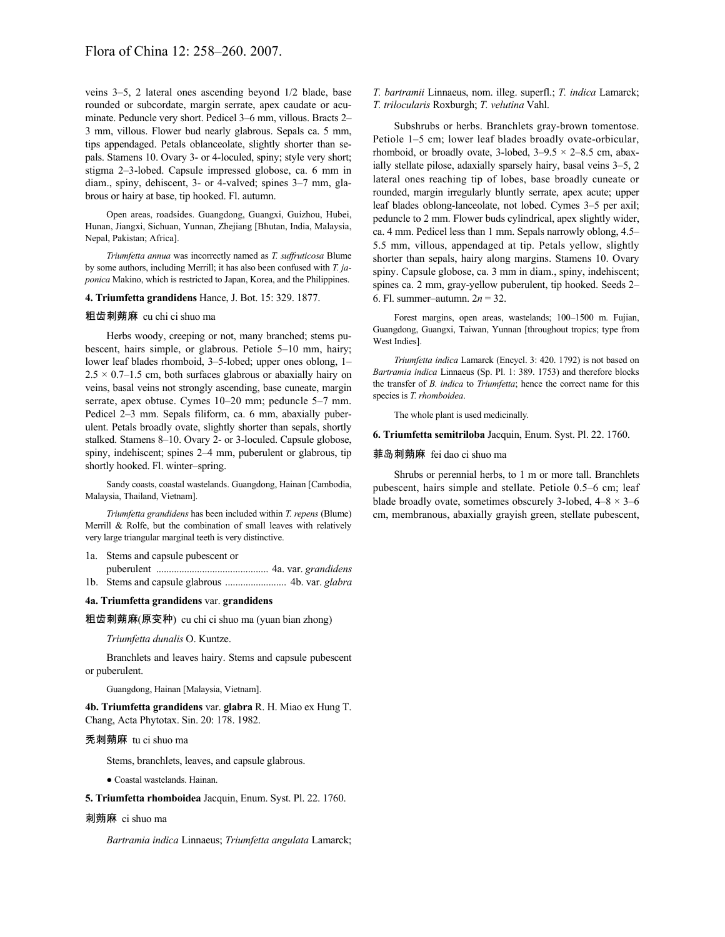veins 3–5, 2 lateral ones ascending beyond 1/2 blade, base rounded or subcordate, margin serrate, apex caudate or acuminate. Peduncle very short. Pedicel 3–6 mm, villous. Bracts 2– 3 mm, villous. Flower bud nearly glabrous. Sepals ca. 5 mm, tips appendaged. Petals oblanceolate, slightly shorter than sepals. Stamens 10. Ovary 3- or 4-loculed, spiny; style very short; stigma 2–3-lobed. Capsule impressed globose, ca. 6 mm in diam., spiny, dehiscent, 3- or 4-valved; spines 3–7 mm, glabrous or hairy at base, tip hooked. Fl. autumn.

Open areas, roadsides. Guangdong, Guangxi, Guizhou, Hubei, Hunan, Jiangxi, Sichuan, Yunnan, Zhejiang [Bhutan, India, Malaysia, Nepal, Pakistan; Africa].

*Triumfetta annua* was incorrectly named as *T. suffruticosa* Blume by some authors, including Merrill; it has also been confused with *T. japonica* Makino, which is restricted to Japan, Korea, and the Philippines.

## **4. Triumfetta grandidens** Hance, J. Bot. 15: 329. 1877.

#### 粗齿刺蒴麻 cu chi ci shuo ma

Herbs woody, creeping or not, many branched; stems pubescent, hairs simple, or glabrous. Petiole 5–10 mm, hairy; lower leaf blades rhomboid, 3–5-lobed; upper ones oblong, 1–  $2.5 \times 0.7$ –1.5 cm, both surfaces glabrous or abaxially hairy on veins, basal veins not strongly ascending, base cuneate, margin serrate, apex obtuse. Cymes 10–20 mm; peduncle 5–7 mm. Pedicel 2–3 mm. Sepals filiform, ca. 6 mm, abaxially puberulent. Petals broadly ovate, slightly shorter than sepals, shortly stalked. Stamens 8–10. Ovary 2- or 3-loculed. Capsule globose, spiny, indehiscent; spines 2–4 mm, puberulent or glabrous, tip shortly hooked. Fl. winter–spring.

Sandy coasts, coastal wastelands. Guangdong, Hainan [Cambodia, Malaysia, Thailand, Vietnam].

*Triumfetta grandidens* has been included within *T. repens* (Blume) Merrill & Rolfe, but the combination of small leaves with relatively very large triangular marginal teeth is very distinctive.

1a. Stems and capsule pubescent or

puberulent ............................................ 4a. var. *grandidens* 1b. Stems and capsule glabrous ........................ 4b. var. *glabra*

**4a. Triumfetta grandidens** var. **grandidens**

粗齿刺蒴麻(原变种) cu chi ci shuo ma (yuan bian zhong)

*Triumfetta dunalis* O. Kuntze.

Branchlets and leaves hairy. Stems and capsule pubescent or puberulent.

Guangdong, Hainan [Malaysia, Vietnam].

**4b. Triumfetta grandidens** var. **glabra** R. H. Miao ex Hung T. Chang, Acta Phytotax. Sin. 20: 178. 1982.

## 秃刺蒴麻 tu ci shuo ma

Stems, branchlets, leaves, and capsule glabrous.

● Coastal wastelands. Hainan.

**5. Triumfetta rhomboidea** Jacquin, Enum. Syst. Pl. 22. 1760.

## 刺蒴麻 ci shuo ma

*Bartramia indica* Linnaeus; *Triumfetta angulata* Lamarck;

*T. bartramii* Linnaeus, nom. illeg. superfl.; *T. indica* Lamarck; *T. trilocularis* Roxburgh; *T. velutina* Vahl.

Subshrubs or herbs. Branchlets gray-brown tomentose. Petiole 1–5 cm; lower leaf blades broadly ovate-orbicular, rhomboid, or broadly ovate, 3-lobed,  $3-9.5 \times 2-8.5$  cm, abaxially stellate pilose, adaxially sparsely hairy, basal veins 3–5, 2 lateral ones reaching tip of lobes, base broadly cuneate or rounded, margin irregularly bluntly serrate, apex acute; upper leaf blades oblong-lanceolate, not lobed. Cymes 3–5 per axil; peduncle to 2 mm. Flower buds cylindrical, apex slightly wider, ca. 4 mm. Pedicel less than 1 mm. Sepals narrowly oblong, 4.5– 5.5 mm, villous, appendaged at tip. Petals yellow, slightly shorter than sepals, hairy along margins. Stamens 10. Ovary spiny. Capsule globose, ca. 3 mm in diam., spiny, indehiscent; spines ca. 2 mm, gray-yellow puberulent, tip hooked. Seeds 2– 6. Fl. summer–autumn. 2*n* = 32.

Forest margins, open areas, wastelands; 100–1500 m. Fujian, Guangdong, Guangxi, Taiwan, Yunnan [throughout tropics; type from West Indies].

*Triumfetta indica* Lamarck (Encycl. 3: 420. 1792) is not based on *Bartramia indica* Linnaeus (Sp. Pl. 1: 389. 1753) and therefore blocks the transfer of *B. indica* to *Triumfetta*; hence the correct name for this species is *T. rhomboidea*.

The whole plant is used medicinally.

**6. Triumfetta semitriloba** Jacquin, Enum. Syst. Pl. 22. 1760.

## 菲岛刺蒴麻 fei dao ci shuo ma

Shrubs or perennial herbs, to 1 m or more tall. Branchlets pubescent, hairs simple and stellate. Petiole 0.5–6 cm; leaf blade broadly ovate, sometimes obscurely 3-lobed,  $4-8 \times 3-6$ cm, membranous, abaxially grayish green, stellate pubescent,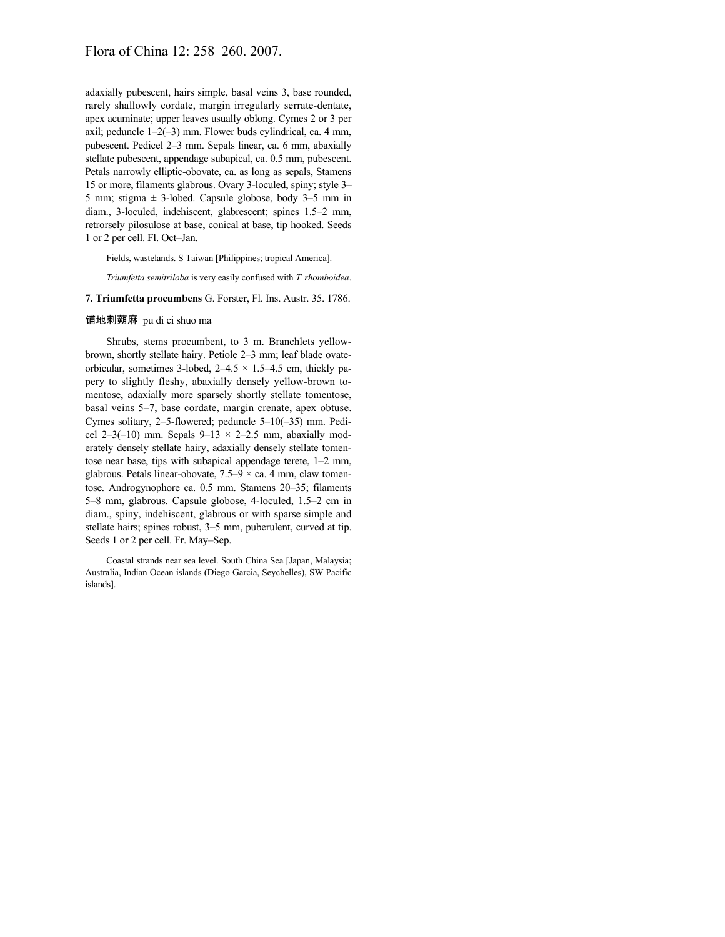# Flora of China 12: 258–260. 2007.

adaxially pubescent, hairs simple, basal veins 3, base rounded, rarely shallowly cordate, margin irregularly serrate-dentate, apex acuminate; upper leaves usually oblong. Cymes 2 or 3 per axil; peduncle  $1-2(-3)$  mm. Flower buds cylindrical, ca. 4 mm, pubescent. Pedicel 2–3 mm. Sepals linear, ca. 6 mm, abaxially stellate pubescent, appendage subapical, ca. 0.5 mm, pubescent. Petals narrowly elliptic-obovate, ca. as long as sepals, Stamens 15 or more, filaments glabrous. Ovary 3-loculed, spiny; style 3– 5 mm; stigma  $\pm$  3-lobed. Capsule globose, body 3–5 mm in diam., 3-loculed, indehiscent, glabrescent; spines 1.5–2 mm, retrorsely pilosulose at base, conical at base, tip hooked. Seeds 1 or 2 per cell. Fl. Oct–Jan.

Fields, wastelands. S Taiwan [Philippines; tropical America].

*Triumfetta semitriloba* is very easily confused with *T. rhomboidea*.

## **7. Triumfetta procumbens** G. Forster, Fl. Ins. Austr. 35. 1786.

## 铺地刺蒴麻 pu di ci shuo ma

Shrubs, stems procumbent, to 3 m. Branchlets yellowbrown, shortly stellate hairy. Petiole 2–3 mm; leaf blade ovateorbicular, sometimes 3-lobed,  $2-4.5 \times 1.5-4.5$  cm, thickly papery to slightly fleshy, abaxially densely yellow-brown tomentose, adaxially more sparsely shortly stellate tomentose, basal veins 5–7, base cordate, margin crenate, apex obtuse. Cymes solitary, 2–5-flowered; peduncle 5–10(–35) mm. Pedicel 2–3(–10) mm. Sepals  $9-13 \times 2-2.5$  mm, abaxially moderately densely stellate hairy, adaxially densely stellate tomentose near base, tips with subapical appendage terete, 1–2 mm, glabrous. Petals linear-obovate,  $7.5-9 \times$  ca. 4 mm, claw tomentose. Androgynophore ca. 0.5 mm. Stamens 20–35; filaments 5–8 mm, glabrous. Capsule globose, 4-loculed, 1.5–2 cm in diam., spiny, indehiscent, glabrous or with sparse simple and stellate hairs; spines robust, 3–5 mm, puberulent, curved at tip. Seeds 1 or 2 per cell. Fr. May–Sep.

Coastal strands near sea level. South China Sea [Japan, Malaysia; Australia, Indian Ocean islands (Diego Garcia, Seychelles), SW Pacific islands].